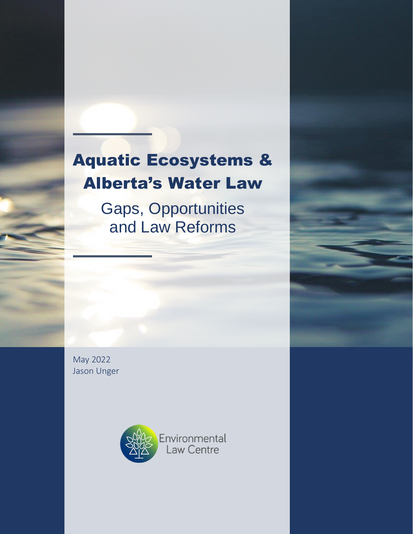# Aquatic Ecosystems & Alberta's Water Law

Aquatic Ecosystems & Alberta's Water Law

Gaps, Opportunities and Law Reforms

Gaps, Opportunities and Law Reforms

May 2022 Jason Unger



May 2022 Environmental Law Centre (Alberta) Society Page i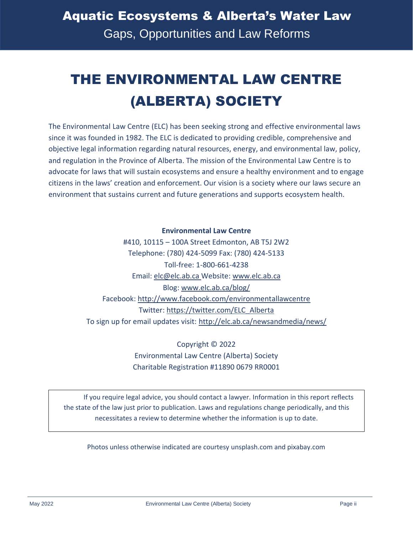# THE ENVIRONMENTAL LAW CENTRE (ALBERTA) SOCIETY

The Environmental Law Centre (ELC) has been seeking strong and effective environmental laws since it was founded in 1982. The ELC is dedicated to providing credible, comprehensive and objective legal information regarding natural resources, energy, and environmental law, policy, and regulation in the Province of Alberta. The mission of the Environmental Law Centre is to advocate for laws that will sustain ecosystems and ensure a healthy environment and to engage citizens in the laws' creation and enforcement. Our vision is a society where our laws secure an environment that sustains current and future generations and supports ecosystem health.

#### **Environmental Law Centre**

#410, 10115 – 100A Street Edmonton, AB T5J 2W2 Telephone: (780) 424-5099 Fax: (780) 424-5133 Toll-free: 1-800-661-4238 Email: [elc@elc.ab.ca](mailto:elc@elc.ab.ca) Website[: www.elc.ab.ca](http://www.elc.ab.ca/) Blog[: www.elc.ab.ca/blog/](http://www.elc.ab.ca/blog/) Facebook:<http://www.facebook.com/environmentallawcentre> Twitter: [https://twitter.com/ELC\\_Alberta](https://twitter.com/ELC_Alberta) To sign up for email updates visit:<http://elc.ab.ca/newsandmedia/news/>

> Copyright © 2022 Environmental Law Centre (Alberta) Society Charitable Registration #11890 0679 RR0001

If you require legal advice, you should contact a lawyer. Information in this report reflects the state of the law just prior to publication. Laws and regulations change periodically, and this necessitates a review to determine whether the information is up to date.

Photos unless otherwise indicated are courtesy unsplash.com and pixabay.com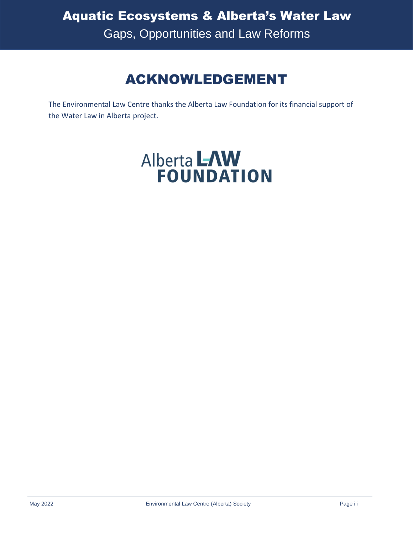## ACKNOWLEDGEMENT

The Environmental Law Centre thanks the Alberta Law Foundation for its financial support of the Water Law in Alberta project.

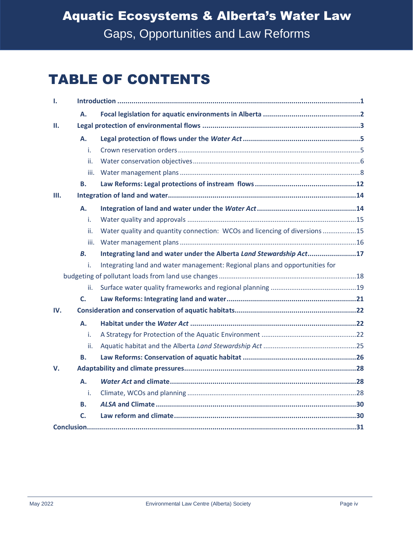## TABLE OF CONTENTS

| ı.  |           |                                                                             |  |  |  |
|-----|-----------|-----------------------------------------------------------------------------|--|--|--|
|     | А.        |                                                                             |  |  |  |
| Ш.  |           |                                                                             |  |  |  |
|     | Α.        |                                                                             |  |  |  |
|     | i.        |                                                                             |  |  |  |
|     | ii.       |                                                                             |  |  |  |
|     | iii.      |                                                                             |  |  |  |
|     | В.        |                                                                             |  |  |  |
| Ш.  |           |                                                                             |  |  |  |
|     | A.        |                                                                             |  |  |  |
|     | i.        |                                                                             |  |  |  |
|     | ii.       | Water quality and quantity connection: WCOs and licencing of diversions 15  |  |  |  |
|     | iii.      |                                                                             |  |  |  |
|     | В.        | Integrating land and water under the Alberta Land Stewardship Act17         |  |  |  |
|     | i.        | Integrating land and water management: Regional plans and opportunities for |  |  |  |
|     |           |                                                                             |  |  |  |
|     | ii.       |                                                                             |  |  |  |
|     | C.        |                                                                             |  |  |  |
| IV. |           |                                                                             |  |  |  |
|     | <b>A.</b> |                                                                             |  |  |  |
|     | i.        |                                                                             |  |  |  |
|     | ii.       |                                                                             |  |  |  |
|     | В.        |                                                                             |  |  |  |
| V.  |           |                                                                             |  |  |  |
|     | A.        |                                                                             |  |  |  |
|     | i.        |                                                                             |  |  |  |
|     | В.        |                                                                             |  |  |  |
|     | C.        |                                                                             |  |  |  |
|     |           |                                                                             |  |  |  |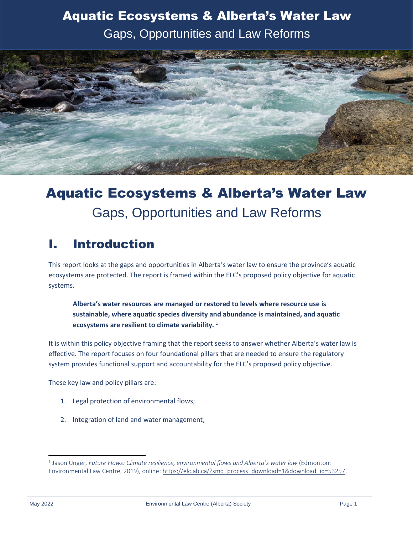

## Aquatic Ecosystems & Alberta's Water Law Gaps, Opportunities and Law Reforms

### <span id="page-4-0"></span>I. Introduction

This report looks at the gaps and opportunities in Alberta's water law to ensure the province's aquatic ecosystems are protected. The report is framed within the ELC's proposed policy objective for aquatic systems.

**Alberta's water resources are managed or restored to levels where resource use is sustainable, where aquatic species diversity and abundance is maintained, and aquatic ecosystems are resilient to climate variability.** <sup>1</sup>

It is within this policy objective framing that the report seeks to answer whether Alberta's water law is effective. The report focuses on four foundational pillars that are needed to ensure the regulatory system provides functional support and accountability for the ELC's proposed policy objective.

These key law and policy pillars are:

- 1. Legal protection of environmental flows;
- 2. Integration of land and water management;

<sup>1</sup> Jason Unger, *Future Flows: Climate resilience, environmental flows and Alberta's water law* (Edmonton: Environmental Law Centre, 2019), online: [https://elc.ab.ca/?smd\\_process\\_download=1&download\\_id=53257.](https://elc.ab.ca/?smd_process_download=1&download_id=53257)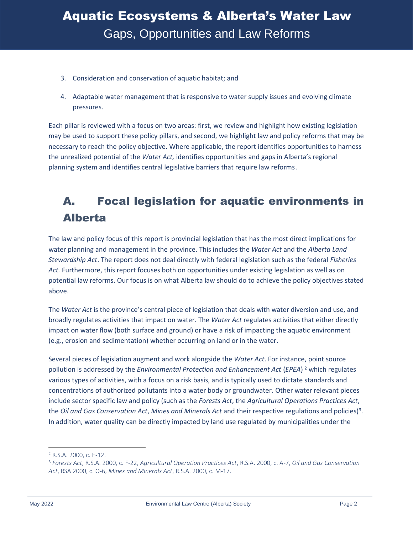- 3. Consideration and conservation of aquatic habitat; and
- 4. Adaptable water management that is responsive to water supply issues and evolving climate pressures.

Each pillar is reviewed with a focus on two areas: first, we review and highlight how existing legislation may be used to support these policy pillars, and second, we highlight law and policy reforms that may be necessary to reach the policy objective. Where applicable, the report identifies opportunities to harness the unrealized potential of the *Water Act,* identifies opportunities and gaps in Alberta's regional planning system and identifies central legislative barriers that require law reforms.

### <span id="page-5-0"></span>A. Focal legislation for aquatic environments in Alberta

The law and policy focus of this report is provincial legislation that has the most direct implications for water planning and management in the province. This includes the *Water Act* and the *Alberta Land Stewardship Act*. The report does not deal directly with federal legislation such as the federal *Fisheries Act.* Furthermore, this report focuses both on opportunities under existing legislation as well as on potential law reforms. Our focus is on what Alberta law should do to achieve the policy objectives stated above.

The *Water Act* is the province's central piece of legislation that deals with water diversion and use, and broadly regulates activities that impact on water. The *Water Act* regulates activities that either directly impact on water flow (both surface and ground) or have a risk of impacting the aquatic environment (e.g., erosion and sedimentation) whether occurring on land or in the water.

Several pieces of legislation augment and work alongside the *Water Act*. For instance, point source pollution is addressed by the *Environmental Protection and Enhancement Act* (*EPEA*) <sup>2</sup> which regulates various types of activities, with a focus on a risk basis, and is typically used to dictate standards and concentrations of authorized pollutants into a water body or groundwater. Other water relevant pieces include sector specific law and policy (such as the *Forests Act*, the *Agricultural Operations Practices Act*, the *Oil and Gas Conservation Act, Mines and Minerals Act and their respective regulations and policies*)<sup>3</sup>. In addition, water quality can be directly impacted by land use regulated by municipalities under the

<sup>2</sup> R.S.A. 2000, c. E-12.

<sup>3</sup> *Forests Act*, R.S.A. 2000, c. F-22, *Agricultural Operation Practices Act*, R.S.A. 2000, c. A-7, *Oil and Gas Conservation Act*, RSA 2000, c. O-6, *Mines and Minerals Act*, R.S.A. 2000, c. M-17.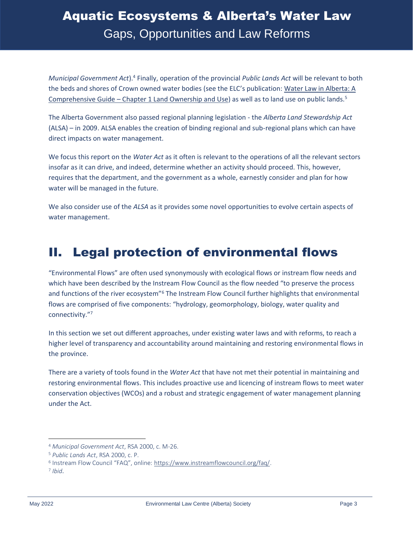*Municipal Government Act*).<sup>4</sup> Finally, operation of the provincial *Public Lands Act* will be relevant to both the beds and shores of Crown owned water bodies (see the ELC's publication: [Water Law in Alberta: A](https://elc.ab.ca/?smd_process_download=1&download_id=95115)  Comprehensive Guide – [Chapter 1 Land Ownership and Use\)](https://elc.ab.ca/?smd_process_download=1&download_id=95115) as well as to land use on public lands.<sup>5</sup>

The Alberta Government also passed regional planning legislation - the *Alberta Land Stewardship Act* (ALSA) – in 2009. ALSA enables the creation of binding regional and sub-regional plans which can have direct impacts on water management.

We focus this report on the *Water Act* as it often is relevant to the operations of all the relevant sectors insofar as it can drive, and indeed, determine whether an activity should proceed. This, however, requires that the department, and the government as a whole, earnestly consider and plan for how water will be managed in the future.

We also consider use of the *ALSA* as it provides some novel opportunities to evolve certain aspects of water management.

### <span id="page-6-0"></span>II. Legal protection of environmental flows

"Environmental Flows" are often used synonymously with ecological flows or instream flow needs and which have been described by the Instream Flow Council as the flow needed "to preserve the process and functions of the river ecosystem"<sup>6</sup> The Instream Flow Council further highlights that environmental flows are comprised of five components: "hydrology, geomorphology, biology, water quality and connectivity."<sup>7</sup>

In this section we set out different approaches, under existing water laws and with reforms, to reach a higher level of transparency and accountability around maintaining and restoring environmental flows in the province.

There are a variety of tools found in the *Water Act* that have not met their potential in maintaining and restoring environmental flows. This includes proactive use and licencing of instream flows to meet water conservation objectives (WCOs) and a robust and strategic engagement of water management planning under the Act.

<sup>4</sup> *Municipal Government Act*, RSA 2000, c. M-26.

<sup>5</sup> *Public Lands Act*, RSA 2000, c. P.

<sup>&</sup>lt;sup>6</sup> Instream Flow Council "FAQ", online: [https://www.instreamflowcouncil.org/faq/.](https://www.instreamflowcouncil.org/faq/)

<sup>7</sup> *Ibid*.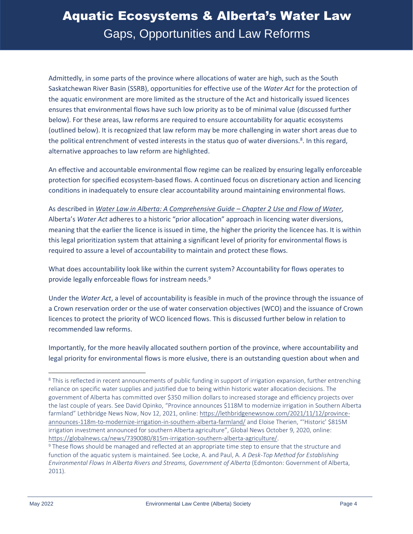Admittedly, in some parts of the province where allocations of water are high, such as the South Saskatchewan River Basin (SSRB), opportunities for effective use of the *Water Act* for the protection of the aquatic environment are more limited as the structure of the Act and historically issued licences ensures that environmental flows have such low priority as to be of minimal value (discussed further below). For these areas, law reforms are required to ensure accountability for aquatic ecosystems (outlined below). It is recognized that law reform may be more challenging in water short areas due to the political entrenchment of vested interests in the status quo of water diversions.<sup>8</sup>. In this regard, alternative approaches to law reform are highlighted.

An effective and accountable environmental flow regime can be realized by ensuring legally enforceable protection for specified ecosystem-based flows. A continued focus on discretionary action and licencing conditions in inadequately to ensure clear accountability around maintaining environmental flows.

As described in *[Water Law in Alberta: A Comprehensive Guide](https://elc.ab.ca/?smd_process_download=1&download_id=95116) – Chapter 2 Use and Flow of Water*, Alberta's *Water Act* adheres to a historic "prior allocation" approach in licencing water diversions, meaning that the earlier the licence is issued in time, the higher the priority the licencee has. It is within this legal prioritization system that attaining a significant level of priority for environmental flows is required to assure a level of accountability to maintain and protect these flows.

What does accountability look like within the current system? Accountability for flows operates to provide legally enforceable flows for instream needs.<sup>9</sup>

Under the *Water Act*, a level of accountability is feasible in much of the province through the issuance of a Crown reservation order or the use of water conservation objectives (WCO) and the issuance of Crown licences to protect the priority of WCO licenced flows. This is discussed further below in relation to recommended law reforms.

Importantly, for the more heavily allocated southern portion of the province, where accountability and legal priority for environmental flows is more elusive, there is an outstanding question about when and

<sup>&</sup>lt;sup>8</sup> This is reflected in recent announcements of public funding in support of irrigation expansion, further entrenching reliance on specific water supplies and justified due to being within historic water allocation decisions. The government of Alberta has committed over \$350 million dollars to increased storage and efficiency projects over the last couple of years. See David Opinko, "Province announces \$118M to modernize irrigation in Southern Alberta farmland" Lethbridge News Now, Nov 12, 2021, online: [https://lethbridgenewsnow.com/2021/11/12/province](https://lethbridgenewsnow.com/2021/11/12/province-announces-118m-to-modernize-irrigation-in-southern-alberta-farmland/)[announces-118m-to-modernize-irrigation-in-southern-alberta-farmland/](https://lethbridgenewsnow.com/2021/11/12/province-announces-118m-to-modernize-irrigation-in-southern-alberta-farmland/) and Eloise Therien, "'Historic' \$815M irrigation investment announced for southern Alberta agriculture", Global News October 9, 2020, online: [https://globalnews.ca/news/7390080/815m-irrigation-southern-alberta-agriculture/.](https://globalnews.ca/news/7390080/815m-irrigation-southern-alberta-agriculture/)

<sup>9</sup> These flows should be managed and reflected at an appropriate time step to ensure that the structure and function of the aquatic system is maintained. See Locke, A. and Paul, A. *A Desk-Top Method for Establishing Environmental Flows In Alberta Rivers and Streams, Government of Alberta* (Edmonton: Government of Alberta, 2011).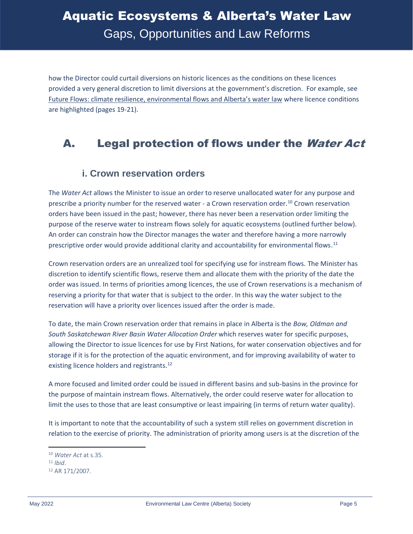how the Director could curtail diversions on historic licences as the conditions on these licences provided a very general discretion to limit diversions at the government's discretion. For example, see [Future Flows: climate resilience, environmental flows and Alberta's water law](https://elc.ab.ca/?smd_process_download=1&download_id=53257) where licence conditions are highlighted (pages 19-21).

### <span id="page-8-0"></span>A. Legal protection of flows under the Water Act

#### <span id="page-8-1"></span>**i. Crown reservation orders**

The *Water Act* allows the Minister to issue an order to reserve unallocated water for any purpose and prescribe a priority number for the reserved water - a Crown reservation order. <sup>10</sup> Crown reservation orders have been issued in the past; however, there has never been a reservation order limiting the purpose of the reserve water to instream flows solely for aquatic ecosystems (outlined further below). An order can constrain how the Director manages the water and therefore having a more narrowly prescriptive order would provide additional clarity and accountability for environmental flows.<sup>11</sup>

Crown reservation orders are an unrealized tool for specifying use for instream flows. The Minister has discretion to identify scientific flows, reserve them and allocate them with the priority of the date the order was issued. In terms of priorities among licences, the use of Crown reservations is a mechanism of reserving a priority for that water that is subject to the order. In this way the water subject to the reservation will have a priority over licences issued after the order is made.

To date, the main Crown reservation order that remains in place in Alberta is the *Bow, Oldman and South Saskatchewan River Basin Water Allocation Order* which reserves water for specific purposes, allowing the Director to issue licences for use by First Nations, for water conservation objectives and for storage if it is for the protection of the aquatic environment, and for improving availability of water to existing licence holders and registrants.<sup>12</sup>

A more focused and limited order could be issued in different basins and sub-basins in the province for the purpose of maintain instream flows. Alternatively, the order could reserve water for allocation to limit the uses to those that are least consumptive or least impairing (in terms of return water quality).

It is important to note that the accountability of such a system still relies on government discretion in relation to the exercise of priority. The administration of priority among users is at the discretion of the

<sup>10</sup> *Water Act* at s.35.

<sup>11</sup> *Ibid*.

<sup>12</sup> AR 171/2007.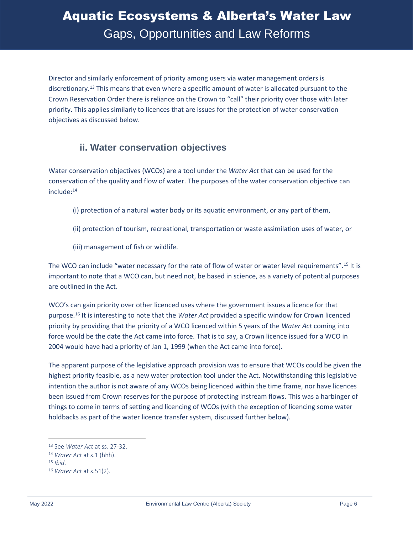Director and similarly enforcement of priority among users via water management orders is discretionary.<sup>13</sup> This means that even where a specific amount of water is allocated pursuant to the Crown Reservation Order there is reliance on the Crown to "call" their priority over those with later priority. This applies similarly to licences that are issues for the protection of water conservation objectives as discussed below.

#### <span id="page-9-0"></span>**ii. Water conservation objectives**

Water conservation objectives (WCOs) are a tool under the *Water Act* that can be used for the conservation of the quality and flow of water. The purposes of the water conservation objective can include: 14

- (i) protection of a natural water body or its aquatic environment, or any part of them,
- (ii) protection of tourism, recreational, transportation or waste assimilation uses of water, or
- (iii) management of fish or wildlife.

The WCO can include "water necessary for the rate of flow of water or water level requirements".<sup>15</sup> It is important to note that a WCO can, but need not, be based in science, as a variety of potential purposes are outlined in the Act.

WCO's can gain priority over other licenced uses where the government issues a licence for that purpose.<sup>16</sup> It is interesting to note that the *Water Act* provided a specific window for Crown licenced priority by providing that the priority of a WCO licenced within 5 years of the *Water Act* coming into force would be the date the Act came into force. That is to say, a Crown licence issued for a WCO in 2004 would have had a priority of Jan 1, 1999 (when the Act came into force).

The apparent purpose of the legislative approach provision was to ensure that WCOs could be given the highest priority feasible, as a new water protection tool under the Act. Notwithstanding this legislative intention the author is not aware of any WCOs being licenced within the time frame, nor have licences been issued from Crown reserves for the purpose of protecting instream flows. This was a harbinger of things to come in terms of setting and licencing of WCOs (with the exception of licencing some water holdbacks as part of the water licence transfer system, discussed further below).

<sup>13</sup> See *Water Act* at ss. 27-32.

<sup>14</sup> *Water Act* at s.1 (hhh).

<sup>15</sup> *Ibid*.

<sup>16</sup> *Water Act* at s.51(2).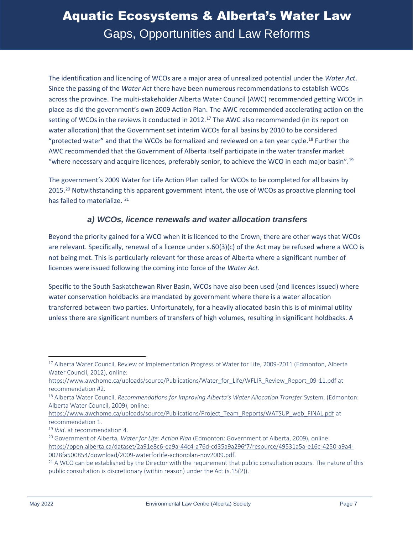The identification and licencing of WCOs are a major area of unrealized potential under the *Water Act*. Since the passing of the *Water Act* there have been numerous recommendations to establish WCOs across the province. The multi-stakeholder Alberta Water Council (AWC) recommended getting WCOs in place as did the government's own 2009 Action Plan. The AWC recommended accelerating action on the setting of WCOs in the reviews it conducted in 2012.<sup>17</sup> The AWC also recommended (in its report on water allocation) that the Government set interim WCOs for all basins by 2010 to be considered "protected water" and that the WCOs be formalized and reviewed on a ten year cycle.<sup>18</sup> Further the AWC recommended that the Government of Alberta itself participate in the water transfer market "where necessary and acquire licences, preferably senior, to achieve the WCO in each major basin".<sup>19</sup>

The government's 2009 Water for Life Action Plan called for WCOs to be completed for all basins by 2015.<sup>20</sup> Notwithstanding this apparent government intent, the use of WCOs as proactive planning tool has failed to materialize.<sup>21</sup>

#### *a) WCOs, licence renewals and water allocation transfers*

Beyond the priority gained for a WCO when it is licenced to the Crown, there are other ways that WCOs are relevant. Specifically, renewal of a licence under s.60(3)(c) of the Act may be refused where a WCO is not being met. This is particularly relevant for those areas of Alberta where a significant number of licences were issued following the coming into force of the *Water Act*.

Specific to the South Saskatchewan River Basin, WCOs have also been used (and licences issued) where water conservation holdbacks are mandated by government where there is a water allocation transferred between two parties. Unfortunately, for a heavily allocated basin this is of minimal utility unless there are significant numbers of transfers of high volumes, resulting in significant holdbacks. A

<sup>&</sup>lt;sup>17</sup> Alberta Water Council, Review of Implementation Progress of Water for Life, 2009-2011 (Edmonton, Alberta Water Council, 2012), online:

[https://www.awchome.ca/uploads/source/Publications/Water\\_for\\_Life/WFLIR\\_Review\\_Report\\_09-11.pdf](https://www.awchome.ca/uploads/source/Publications/Water_for_Life/WFLIR_Review_Report_09-11.pdf) at recommendation #2.

<sup>&</sup>lt;sup>18</sup> Alberta Water Council, *Recommendations for Improving Alberta's Water Allocation Transfer System*, (Edmonton: Alberta Water Council, 2009), online:

[https://www.awchome.ca/uploads/source/Publications/Project\\_Team\\_Reports/WATSUP\\_web\\_FINAL.pdf](https://www.awchome.ca/uploads/source/Publications/Project_Team_Reports/WATSUP_web_FINAL.pdf) at recommendation 1.

<sup>19</sup> *Ibid*. at recommendation 4.

<sup>20</sup> Government of Alberta, *Water for Life: Action Plan* (Edmonton: Government of Alberta, 2009), online: [https://open.alberta.ca/dataset/2a91e8c6-ea9a-44c4-a76d-cd35a9a296f7/resource/49531a5a-e16c-4250-a9a4-](https://open.alberta.ca/dataset/2a91e8c6-ea9a-44c4-a76d-cd35a9a296f7/resource/49531a5a-e16c-4250-a9a4-0028fa500854/download/2009-waterforlife-actionplan-nov2009.pdf) [0028fa500854/download/2009-waterforlife-actionplan-nov2009.pdf.](https://open.alberta.ca/dataset/2a91e8c6-ea9a-44c4-a76d-cd35a9a296f7/resource/49531a5a-e16c-4250-a9a4-0028fa500854/download/2009-waterforlife-actionplan-nov2009.pdf)

 $21$  A WCO can be established by the Director with the requirement that public consultation occurs. The nature of this public consultation is discretionary (within reason) under the Act (s.15(2)).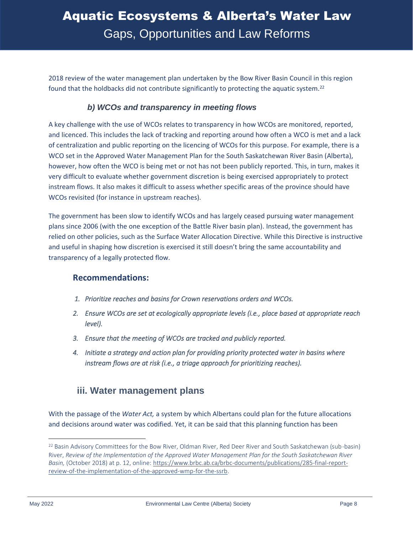2018 review of the water management plan undertaken by the Bow River Basin Council in this region found that the holdbacks did not contribute significantly to protecting the aquatic system.<sup>22</sup>

#### *b) WCOs and transparency in meeting flows*

A key challenge with the use of WCOs relates to transparency in how WCOs are monitored, reported, and licenced. This includes the lack of tracking and reporting around how often a WCO is met and a lack of centralization and public reporting on the licencing of WCOs for this purpose. For example, there is a WCO set in the Approved Water Management Plan for the South Saskatchewan River Basin (Alberta), however, how often the WCO is being met or not has not been publicly reported. This, in turn, makes it very difficult to evaluate whether government discretion is being exercised appropriately to protect instream flows. It also makes it difficult to assess whether specific areas of the province should have WCOs revisited (for instance in upstream reaches).

The government has been slow to identify WCOs and has largely ceased pursuing water management plans since 2006 (with the one exception of the Battle River basin plan). Instead, the government has relied on other policies, such as the Surface Water Allocation Directive. While this Directive is instructive and useful in shaping how discretion is exercised it still doesn't bring the same accountability and transparency of a legally protected flow.

#### **Recommendations:**

- *1. Prioritize reaches and basins for Crown reservations orders and WCOs.*
- *2. Ensure WCOs are set at ecologically appropriate levels (i.e., place based at appropriate reach level).*
- *3. Ensure that the meeting of WCOs are tracked and publicly reported.*
- *4. Initiate a strategy and action plan for providing priority protected water in basins where instream flows are at risk (i.e., a triage approach for prioritizing reaches).*

#### <span id="page-11-0"></span>**iii. Water management plans**

With the passage of the *Water Act,* a system by which Albertans could plan for the future allocations and decisions around water was codified. Yet, it can be said that this planning function has been

<sup>&</sup>lt;sup>22</sup> Basin Advisory Committees for the Bow River, Oldman River, Red Deer River and South Saskatchewan (sub-basin) River, *Review of the Implementation of the Approved Water Management Plan for the South Saskatchewan River Basin,* (October 2018) at p. 12, online: [https://www.brbc.ab.ca/brbc-documents/publications/285-final-report](https://www.brbc.ab.ca/brbc-documents/publications/285-final-report-review-of-the-implementation-of-the-approved-wmp-for-the-ssrb)[review-of-the-implementation-of-the-approved-wmp-for-the-ssrb.](https://www.brbc.ab.ca/brbc-documents/publications/285-final-report-review-of-the-implementation-of-the-approved-wmp-for-the-ssrb)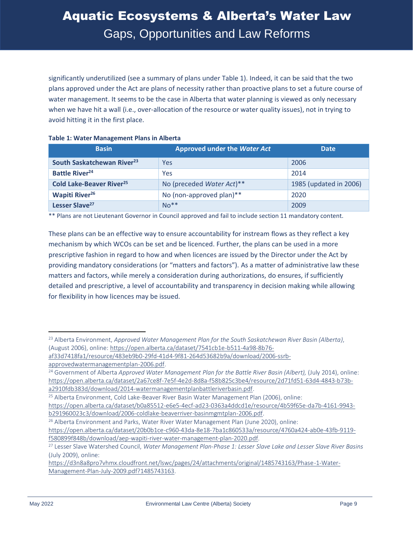significantly underutilized (see a summary of plans under Table 1). Indeed, it can be said that the two plans approved under the Act are plans of necessity rather than proactive plans to set a future course of water management. It seems to be the case in Alberta that water planning is viewed as only necessary when we have hit a wall (i.e., over-allocation of the resource or water quality issues), not in trying to avoid hitting it in the first place.

#### **Table 1: Water Management Plans in Alberta**

| <b>Basin</b>                               | <b>Approved under the Water Act</b> | <b>Date</b>            |
|--------------------------------------------|-------------------------------------|------------------------|
| South Saskatchewan River <sup>23</sup>     | Yes                                 | 2006                   |
| <b>Battle River<sup>24</sup></b>           | Yes                                 | 2014                   |
| <b>Cold Lake-Beaver River<sup>25</sup></b> | No (preceded Water Act)**           | 1985 (updated in 2006) |
| <b>Wapiti River<sup>26</sup></b>           | No (non-approved plan)**            | 2020                   |
| Lesser Slave <sup>27</sup>                 | $No**$                              | 2009                   |

\*\* Plans are not Lieutenant Governor in Council approved and fail to include section 11 mandatory content.

These plans can be an effective way to ensure accountability for instream flows as they reflect a key mechanism by which WCOs can be set and be licenced. Further, the plans can be used in a more prescriptive fashion in regard to how and when licences are issued by the Director under the Act by providing mandatory considerations (or "matters and factors"). As a matter of administrative law these matters and factors, while merely a consideration during authorizations, do ensures, if sufficiently detailed and prescriptive, a level of accountability and transparency in decision making while allowing for flexibility in how licences may be issued.

<sup>23</sup> Alberta Environment, *Approved Water Management Plan for the South Saskatchewan River Basin (Alberta)*, (August 2006), online: [https://open.alberta.ca/dataset/7541cb1e-b511-4a98-8b76-](https://open.alberta.ca/dataset/7541cb1e-b511-4a98-8b76-af33d7418fa1/resource/483eb9b0-29fd-41d4-9f81-264d53682b9a/download/2006-ssrb-approvedwatermanagementplan-2006.pdf)

[af33d7418fa1/resource/483eb9b0-29fd-41d4-9f81-264d53682b9a/download/2006-ssrb](https://open.alberta.ca/dataset/7541cb1e-b511-4a98-8b76-af33d7418fa1/resource/483eb9b0-29fd-41d4-9f81-264d53682b9a/download/2006-ssrb-approvedwatermanagementplan-2006.pdf)[approvedwatermanagementplan-2006.pdf.](https://open.alberta.ca/dataset/7541cb1e-b511-4a98-8b76-af33d7418fa1/resource/483eb9b0-29fd-41d4-9f81-264d53682b9a/download/2006-ssrb-approvedwatermanagementplan-2006.pdf)

<sup>&</sup>lt;sup>24</sup> Government of Alberta *Approved Water Management Plan for the Battle River Basin (Albert), (July 2014), online:* [https://open.alberta.ca/dataset/2a67ce8f-7e5f-4e2d-8d8a-f58b825c3be4/resource/2d71fd51-63d4-4843-b73b](https://open.alberta.ca/dataset/2a67ce8f-7e5f-4e2d-8d8a-f58b825c3be4/resource/2d71fd51-63d4-4843-b73b-a2910fdb383d/download/2014-watermanagementplanbattleriverbasin.pdf)[a2910fdb383d/download/2014-watermanagementplanbattleriverbasin.pdf.](https://open.alberta.ca/dataset/2a67ce8f-7e5f-4e2d-8d8a-f58b825c3be4/resource/2d71fd51-63d4-4843-b73b-a2910fdb383d/download/2014-watermanagementplanbattleriverbasin.pdf)

<sup>25</sup> Alberta Environment, Cold Lake-Beaver River Basin Water Management Plan (2006), online:

[https://open.alberta.ca/dataset/b0a85512-e6e5-4ecf-ad23-0363a4ddcd1e/resource/4b59f65e-da7b-4161-9943](https://open.alberta.ca/dataset/b0a85512-e6e5-4ecf-ad23-0363a4ddcd1e/resource/4b59f65e-da7b-4161-9943-b291960023c3/download/2006-coldlake-beaverriver-basinmgmtplan-2006.pdf) [b291960023c3/download/2006-coldlake-beaverriver-basinmgmtplan-2006.pdf.](https://open.alberta.ca/dataset/b0a85512-e6e5-4ecf-ad23-0363a4ddcd1e/resource/4b59f65e-da7b-4161-9943-b291960023c3/download/2006-coldlake-beaverriver-basinmgmtplan-2006.pdf)

<sup>&</sup>lt;sup>26</sup> Alberta Environment and Parks, Water River Water Management Plan (June 2020), online: [https://open.alberta.ca/dataset/20b0b1ce-c960-43da-8e18-7ba1c860533a/resource/4760a424-ab0e-43fb-9119](https://open.alberta.ca/dataset/20b0b1ce-c960-43da-8e18-7ba1c860533a/resource/4760a424-ab0e-43fb-9119-f580899f848b/download/aep-wapiti-river-water-management-plan-2020.pdf) [f580899f848b/download/aep-wapiti-river-water-management-plan-2020.pdf.](https://open.alberta.ca/dataset/20b0b1ce-c960-43da-8e18-7ba1c860533a/resource/4760a424-ab0e-43fb-9119-f580899f848b/download/aep-wapiti-river-water-management-plan-2020.pdf)

<sup>27</sup> Lesser Slave Watershed Council, *Water Management Plan-Phase 1: Lesser Slave Lake and Lesser Slave River Basins*  (July 2009), online:

[https://d3n8a8pro7vhmx.cloudfront.net/lswc/pages/24/attachments/original/1485743163/Phase-1-Water-](https://d3n8a8pro7vhmx.cloudfront.net/lswc/pages/24/attachments/original/1485743163/Phase-1-Water-Management-Plan-July-2009.pdf?1485743163)[Management-Plan-July-2009.pdf?1485743163.](https://d3n8a8pro7vhmx.cloudfront.net/lswc/pages/24/attachments/original/1485743163/Phase-1-Water-Management-Plan-July-2009.pdf?1485743163)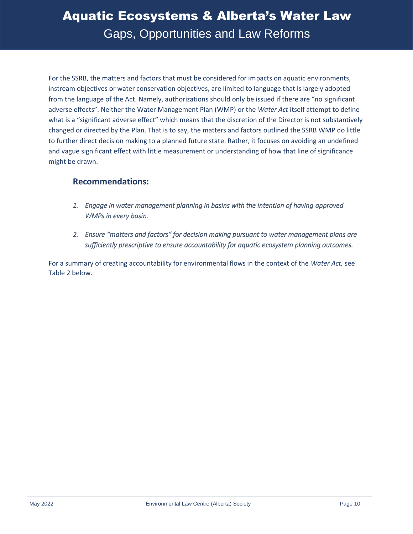For the SSRB, the matters and factors that must be considered for impacts on aquatic environments, instream objectives or water conservation objectives, are limited to language that is largely adopted from the language of the Act. Namely, authorizations should only be issued if there are "no significant adverse effects". Neither the Water Management Plan (WMP) or the *Water Act* itself attempt to define what is a "significant adverse effect" which means that the discretion of the Director is not substantively changed or directed by the Plan. That is to say, the matters and factors outlined the SSRB WMP do little to further direct decision making to a planned future state. Rather, it focuses on avoiding an undefined and vague significant effect with little measurement or understanding of how that line of significance might be drawn.

#### **Recommendations:**

- *1. Engage in water management planning in basins with the intention of having approved WMPs in every basin.*
- *2. Ensure "matters and factors" for decision making pursuant to water management plans are sufficiently prescriptive to ensure accountability for aquatic ecosystem planning outcomes.*

For a summary of creating accountability for environmental flows in the context of the *Water Act,* see Table 2 below.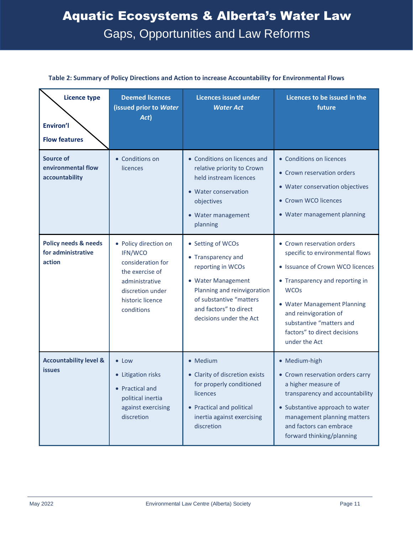| <b>Licence type</b><br><b>Environ'l</b><br><b>Flow features</b> | <b>Deemed licences</b><br>(issued prior to Water<br>Act)                                                                                         | <b>Licences issued under</b><br><b>Water Act</b>                                                                                                                                                  | Licences to be issued in the<br>future                                                                                                                                                                                                                                                   |
|-----------------------------------------------------------------|--------------------------------------------------------------------------------------------------------------------------------------------------|---------------------------------------------------------------------------------------------------------------------------------------------------------------------------------------------------|------------------------------------------------------------------------------------------------------------------------------------------------------------------------------------------------------------------------------------------------------------------------------------------|
| <b>Source of</b><br>environmental flow<br>accountability        | • Conditions on<br>licences                                                                                                                      | • Conditions on licences and<br>relative priority to Crown<br>held instream licences<br>• Water conservation<br>objectives<br>• Water management<br>planning                                      | • Conditions on licences<br>• Crown reservation orders<br>• Water conservation objectives<br>• Crown WCO licences<br>• Water management planning                                                                                                                                         |
| <b>Policy needs &amp; needs</b><br>for administrative<br>action | • Policy direction on<br>IFN/WCO<br>consideration for<br>the exercise of<br>administrative<br>discretion under<br>historic licence<br>conditions | • Setting of WCOs<br>• Transparency and<br>reporting in WCOs<br>• Water Management<br>Planning and reinvigoration<br>of substantive "matters<br>and factors" to direct<br>decisions under the Act | • Crown reservation orders<br>specific to environmental flows<br>• Issuance of Crown WCO licences<br>• Transparency and reporting in<br><b>WCOs</b><br>• Water Management Planning<br>and reinvigoration of<br>substantive "matters and<br>factors" to direct decisions<br>under the Act |
| <b>Accountability level &amp;</b><br><i>issues</i>              | • Low<br>• Litigation risks<br>• Practical and<br>political inertia<br>against exercising<br>discretion                                          | • Medium<br>• Clarity of discretion exists<br>for properly conditioned<br>licences<br>• Practical and political<br>inertia against exercising<br>discretion                                       | • Medium-high<br>• Crown reservation orders carry<br>a higher measure of<br>transparency and accountability<br>• Substantive approach to water<br>management planning matters<br>and factors can embrace<br>forward thinking/planning                                                    |

#### **Table 2: Summary of Policy Directions and Action to increase Accountability for Environmental Flows**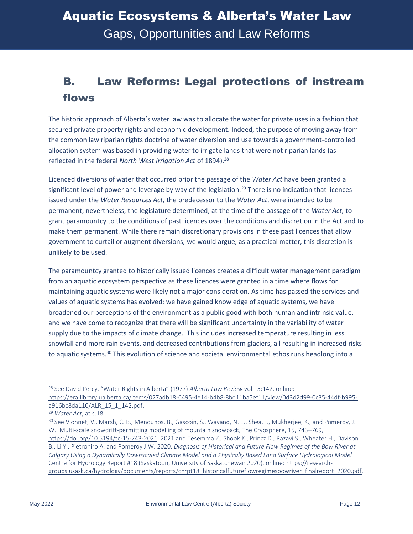### <span id="page-15-0"></span>B. Law Reforms: Legal protections of instream flows

The historic approach of Alberta's water law was to allocate the water for private uses in a fashion that secured private property rights and economic development. Indeed, the purpose of moving away from the common law riparian rights doctrine of water diversion and use towards a government-controlled allocation system was based in providing water to irrigate lands that were not riparian lands (as reflected in the federal *North West Irrigation Act* of 1894).<sup>28</sup>

Licenced diversions of water that occurred prior the passage of the *Water Act* have been granted a significant level of power and leverage by way of the legislation.<sup>29</sup> There is no indication that licences issued under the *Water Resources Act,* the predecessor to the *Water Act*, were intended to be permanent, nevertheless, the legislature determined, at the time of the passage of the *Water Act,* to grant paramountcy to the conditions of past licences over the conditions and discretion in the Act and to make them permanent. While there remain discretionary provisions in these past licences that allow government to curtail or augment diversions, we would argue, as a practical matter, this discretion is unlikely to be used.

The paramountcy granted to historically issued licences creates a difficult water management paradigm from an aquatic ecosystem perspective as these licences were granted in a time where flows for maintaining aquatic systems were likely not a major consideration. As time has passed the services and values of aquatic systems has evolved: we have gained knowledge of aquatic systems, we have broadened our perceptions of the environment as a public good with both human and intrinsic value, and we have come to recognize that there will be significant uncertainty in the variability of water supply due to the impacts of climate change. This includes increased temperature resulting in less snowfall and more rain events, and decreased contributions from glaciers, all resulting in increased risks to aquatic systems.<sup>30</sup> This evolution of science and societal environmental ethos runs headlong into a

<sup>28</sup> See David Percy, "Water Rights in Alberta" (1977) *Alberta Law Review* vol.15:142, online: [https://era.library.ualberta.ca/items/027adb18-6495-4e14-b4b8-8bd11ba5ef11/view/0d3d2d99-0c35-44df-b995](https://era.library.ualberta.ca/items/027adb18-6495-4e14-b4b8-8bd11ba5ef11/view/0d3d2d99-0c35-44df-b995-a916bc8da110/ALR_15_1_142.pdf) [a916bc8da110/ALR\\_15\\_1\\_142.pdf.](https://era.library.ualberta.ca/items/027adb18-6495-4e14-b4b8-8bd11ba5ef11/view/0d3d2d99-0c35-44df-b995-a916bc8da110/ALR_15_1_142.pdf)

<sup>29</sup> *Water Act*, at s.18.

<sup>30</sup> See Vionnet, V., Marsh, C. B., Menounos, B., Gascoin, S., Wayand, N. E., Shea, J., Mukherjee, K., and Pomeroy, J. W.: Multi-scale snowdrift-permitting modelling of mountain snowpack, The Cryosphere, 15, 743–769, [https://doi.org/10.5194/tc-15-743-2021,](https://doi.org/10.5194/tc-15-743-2021) 2021 and Tesemma Z., Shook K., Princz D., Razavi S., Wheater H., Davison B., Li Y., Pietroniro A. and Pomeroy J.W. 2020, *Diagnosis of Historical and Future Flow Regimes of the Bow River at Calgary Using a Dynamically Downscaled Climate Model and a Physically Based Land Surface Hydrological Model* Centre for Hydrology Report #18 (Saskatoon, University of Saskatchewan 2020), online: [https://research](https://research-groups.usask.ca/hydrology/documents/reports/chrpt18_historicalfutureflowregimesbowriver_finalreport_2020.pdf)[groups.usask.ca/hydrology/documents/reports/chrpt18\\_historicalfutureflowregimesbowriver\\_finalreport\\_2020.pdf.](https://research-groups.usask.ca/hydrology/documents/reports/chrpt18_historicalfutureflowregimesbowriver_finalreport_2020.pdf)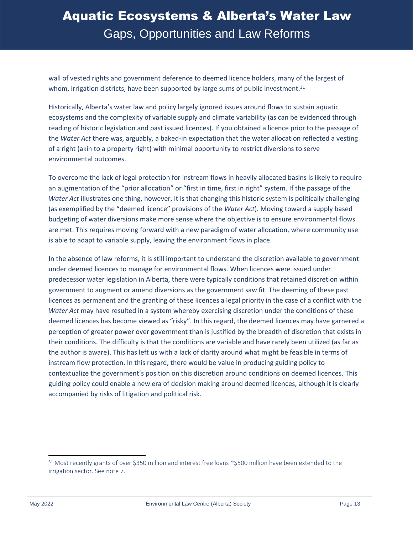wall of vested rights and government deference to deemed licence holders, many of the largest of whom, irrigation districts, have been supported by large sums of public investment.<sup>31</sup>

Historically, Alberta's water law and policy largely ignored issues around flows to sustain aquatic ecosystems and the complexity of variable supply and climate variability (as can be evidenced through reading of historic legislation and past issued licences). If you obtained a licence prior to the passage of the *Water Act* there was, arguably, a baked-in expectation that the water allocation reflected a vesting of a right (akin to a property right) with minimal opportunity to restrict diversions to serve environmental outcomes.

To overcome the lack of legal protection for instream flows in heavily allocated basins is likely to require an augmentation of the "prior allocation" or "first in time, first in right" system. If the passage of the *Water Act* illustrates one thing, however, it is that changing this historic system is politically challenging (as exemplified by the "deemed licence" provisions of the *Water Act*). Moving toward a supply based budgeting of water diversions make more sense where the objective is to ensure environmental flows are met. This requires moving forward with a new paradigm of water allocation, where community use is able to adapt to variable supply, leaving the environment flows in place.

In the absence of law reforms, it is still important to understand the discretion available to government under deemed licences to manage for environmental flows. When licences were issued under predecessor water legislation in Alberta, there were typically conditions that retained discretion within government to augment or amend diversions as the government saw fit. The deeming of these past licences as permanent and the granting of these licences a legal priority in the case of a conflict with the *Water Act* may have resulted in a system whereby exercising discretion under the conditions of these deemed licences has become viewed as "risky". In this regard, the deemed licences may have garnered a perception of greater power over government than is justified by the breadth of discretion that exists in their conditions. The difficulty is that the conditions are variable and have rarely been utilized (as far as the author is aware). This has left us with a lack of clarity around what might be feasible in terms of instream flow protection. In this regard, there would be value in producing guiding policy to contextualize the government's position on this discretion around conditions on deemed licences. This guiding policy could enable a new era of decision making around deemed licences, although it is clearly accompanied by risks of litigation and political risk.

<sup>31</sup> Most recently grants of over \$350 million and interest free loans ~\$500 million have been extended to the irrigation sector. See note 7.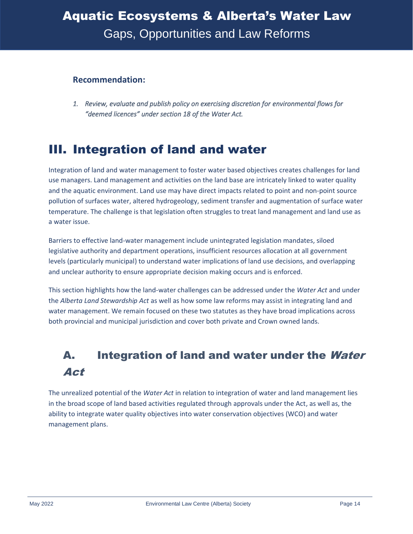#### **Recommendation:**

*1. Review, evaluate and publish policy on exercising discretion for environmental flows for "deemed licences" under section 18 of the Water Act.* 

### <span id="page-17-0"></span>III. Integration of land and water

Integration of land and water management to foster water based objectives creates challenges for land use managers. Land management and activities on the land base are intricately linked to water quality and the aquatic environment. Land use may have direct impacts related to point and non-point source pollution of surfaces water, altered hydrogeology, sediment transfer and augmentation of surface water temperature. The challenge is that legislation often struggles to treat land management and land use as a water issue.

Barriers to effective land-water management include unintegrated legislation mandates, siloed legislative authority and department operations, insufficient resources allocation at all government levels (particularly municipal) to understand water implications of land use decisions, and overlapping and unclear authority to ensure appropriate decision making occurs and is enforced.

This section highlights how the land-water challenges can be addressed under the *Water Act* and under the *Alberta Land Stewardship Act* as well as how some law reforms may assist in integrating land and water management. We remain focused on these two statutes as they have broad implications across both provincial and municipal jurisdiction and cover both private and Crown owned lands.

### <span id="page-17-1"></span>A. Integration of land and water under the Water Act

The unrealized potential of the *Water Act* in relation to integration of water and land management lies in the broad scope of land based activities regulated through approvals under the Act, as well as, the ability to integrate water quality objectives into water conservation objectives (WCO) and water management plans.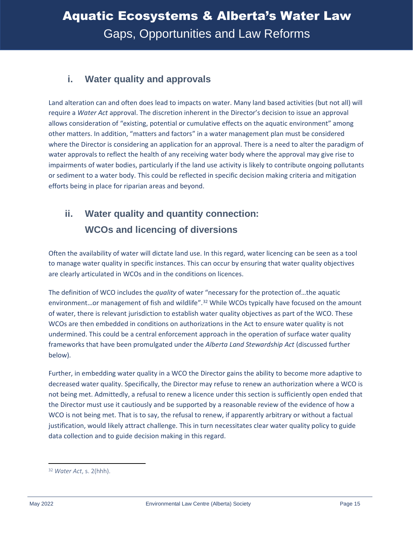### <span id="page-18-0"></span>**i. Water quality and approvals**

Land alteration can and often does lead to impacts on water. Many land based activities (but not all) will require a *Water Act* approval. The discretion inherent in the Director's decision to issue an approval allows consideration of "existing, potential or cumulative effects on the aquatic environment" among other matters. In addition, "matters and factors" in a water management plan must be considered where the Director is considering an application for an approval. There is a need to alter the paradigm of water approvals to reflect the health of any receiving water body where the approval may give rise to impairments of water bodies, particularly if the land use activity is likely to contribute ongoing pollutants or sediment to a water body. This could be reflected in specific decision making criteria and mitigation efforts being in place for riparian areas and beyond.

### <span id="page-18-1"></span>**ii. Water quality and quantity connection: WCOs and licencing of diversions**

Often the availability of water will dictate land use. In this regard, water licencing can be seen as a tool to manage water quality in specific instances. This can occur by ensuring that water quality objectives are clearly articulated in WCOs and in the conditions on licences.

The definition of WCO includes the *quality* of water "necessary for the protection of…the aquatic environment...or management of fish and wildlife".<sup>32</sup> While WCOs typically have focused on the amount of water, there is relevant jurisdiction to establish water quality objectives as part of the WCO. These WCOs are then embedded in conditions on authorizations in the Act to ensure water quality is not undermined. This could be a central enforcement approach in the operation of surface water quality frameworks that have been promulgated under the *Alberta Land Stewardship Act* (discussed further below).

Further, in embedding water quality in a WCO the Director gains the ability to become more adaptive to decreased water quality. Specifically, the Director may refuse to renew an authorization where a WCO is not being met. Admittedly, a refusal to renew a licence under this section is sufficiently open ended that the Director must use it cautiously and be supported by a reasonable review of the evidence of how a WCO is not being met. That is to say, the refusal to renew, if apparently arbitrary or without a factual justification, would likely attract challenge. This in turn necessitates clear water quality policy to guide data collection and to guide decision making in this regard.

<sup>32</sup> *Water Act*, s. 2(hhh).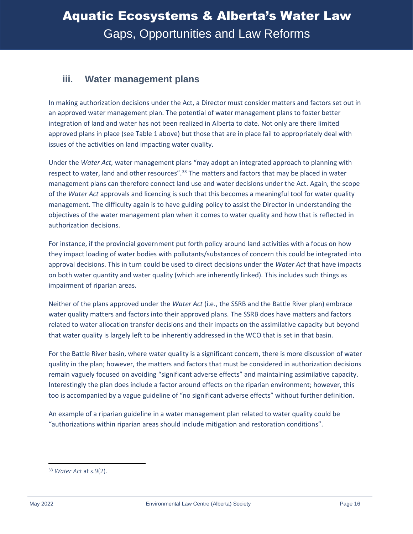#### <span id="page-19-0"></span>**iii. Water management plans**

In making authorization decisions under the Act, a Director must consider matters and factors set out in an approved water management plan. The potential of water management plans to foster better integration of land and water has not been realized in Alberta to date. Not only are there limited approved plans in place (see Table 1 above) but those that are in place fail to appropriately deal with issues of the activities on land impacting water quality.

Under the *Water Act,* water management plans "may adopt an integrated approach to planning with respect to water, land and other resources".<sup>33</sup> The matters and factors that may be placed in water management plans can therefore connect land use and water decisions under the Act. Again, the scope of the *Water Act* approvals and licencing is such that this becomes a meaningful tool for water quality management. The difficulty again is to have guiding policy to assist the Director in understanding the objectives of the water management plan when it comes to water quality and how that is reflected in authorization decisions.

For instance, if the provincial government put forth policy around land activities with a focus on how they impact loading of water bodies with pollutants/substances of concern this could be integrated into approval decisions. This in turn could be used to direct decisions under the *Water Act* that have impacts on both water quantity and water quality (which are inherently linked). This includes such things as impairment of riparian areas.

Neither of the plans approved under the *Water Act* (i.e., the SSRB and the Battle River plan) embrace water quality matters and factors into their approved plans. The SSRB does have matters and factors related to water allocation transfer decisions and their impacts on the assimilative capacity but beyond that water quality is largely left to be inherently addressed in the WCO that is set in that basin.

For the Battle River basin, where water quality is a significant concern, there is more discussion of water quality in the plan; however, the matters and factors that must be considered in authorization decisions remain vaguely focused on avoiding "significant adverse effects" and maintaining assimilative capacity. Interestingly the plan does include a factor around effects on the riparian environment; however, this too is accompanied by a vague guideline of "no significant adverse effects" without further definition.

An example of a riparian guideline in a water management plan related to water quality could be "authorizations within riparian areas should include mitigation and restoration conditions".

<sup>33</sup> *Water Act* at s.9(2).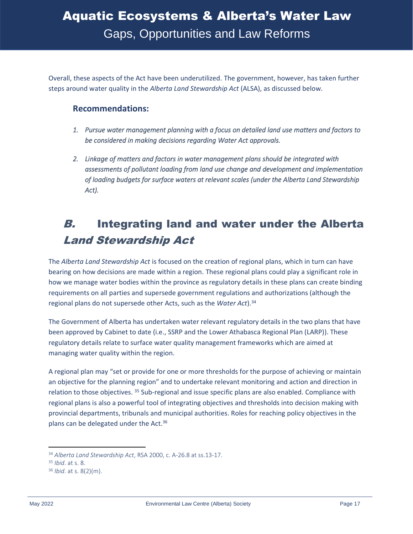Overall, these aspects of the Act have been underutilized. The government, however, has taken further steps around water quality in the *Alberta Land Stewardship Act* (ALSA), as discussed below.

#### **Recommendations:**

- *1. Pursue water management planning with a focus on detailed land use matters and factors to be considered in making decisions regarding Water Act approvals.*
- *2. Linkage of matters and factors in water management plans should be integrated with assessments of pollutant loading from land use change and development and implementation of loading budgets for surface waters at relevant scales (under the Alberta Land Stewardship Act).*

### <span id="page-20-0"></span>B. Integrating land and water under the Alberta Land Stewardship Act

The *Alberta Land Stewardship Act* is focused on the creation of regional plans, which in turn can have bearing on how decisions are made within a region. These regional plans could play a significant role in how we manage water bodies within the province as regulatory details in these plans can create binding requirements on all parties and supersede government regulations and authorizations (although the regional plans do not supersede other Acts, such as the *Water Act*).<sup>34</sup>

The Government of Alberta has undertaken water relevant regulatory details in the two plans that have been approved by Cabinet to date (i.e., SSRP and the Lower Athabasca Regional Plan (LARP)). These regulatory details relate to surface water quality management frameworks which are aimed at managing water quality within the region.

A regional plan may "set or provide for one or more thresholds for the purpose of achieving or maintain an objective for the planning region" and to undertake relevant monitoring and action and direction in relation to those objectives. <sup>35</sup> Sub-regional and issue specific plans are also enabled. Compliance with regional plans is also a powerful tool of integrating objectives and thresholds into decision making with provincial departments, tribunals and municipal authorities. Roles for reaching policy objectives in the plans can be delegated under the Act.<sup>36</sup>

<sup>34</sup> *Alberta Land Stewardship Act*, RSA 2000, c. A-26.8 at ss.13-17.

<sup>35</sup> *Ibid*. at s. 8.

<sup>36</sup> *Ibid*. at s. 8(2)(m).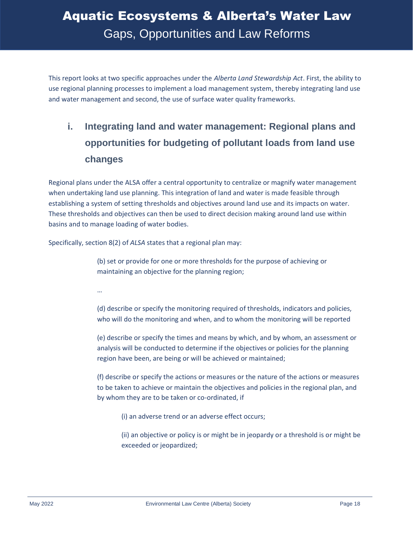This report looks at two specific approaches under the *Alberta Land Stewardship Act*. First, the ability to use regional planning processes to implement a load management system, thereby integrating land use and water management and second, the use of surface water quality frameworks.

### <span id="page-21-0"></span>**i. Integrating land and water management: Regional plans and opportunities for budgeting of pollutant loads from land use changes**

Regional plans under the ALSA offer a central opportunity to centralize or magnify water management when undertaking land use planning. This integration of land and water is made feasible through establishing a system of setting thresholds and objectives around land use and its impacts on water. These thresholds and objectives can then be used to direct decision making around land use within basins and to manage loading of water bodies.

Specifically, section 8(2) of *ALSA* states that a regional plan may:

(b) set or provide for one or more thresholds for the purpose of achieving or maintaining an objective for the planning region;

…

(d) describe or specify the monitoring required of thresholds, indicators and policies, who will do the monitoring and when, and to whom the monitoring will be reported

(e) describe or specify the times and means by which, and by whom, an assessment or analysis will be conducted to determine if the objectives or policies for the planning region have been, are being or will be achieved or maintained;

(f) describe or specify the actions or measures or the nature of the actions or measures to be taken to achieve or maintain the objectives and policies in the regional plan, and by whom they are to be taken or co-ordinated, if

(i) an adverse trend or an adverse effect occurs;

(ii) an objective or policy is or might be in jeopardy or a threshold is or might be exceeded or jeopardized;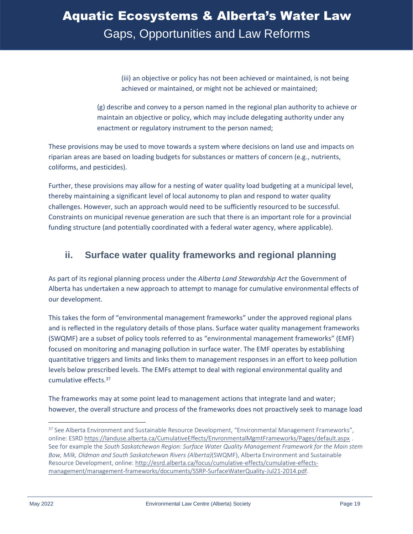(iii) an objective or policy has not been achieved or maintained, is not being achieved or maintained, or might not be achieved or maintained;

(g) describe and convey to a person named in the regional plan authority to achieve or maintain an objective or policy, which may include delegating authority under any enactment or regulatory instrument to the person named;

These provisions may be used to move towards a system where decisions on land use and impacts on riparian areas are based on loading budgets for substances or matters of concern (e.g., nutrients, coliforms, and pesticides).

Further, these provisions may allow for a nesting of water quality load budgeting at a municipal level, thereby maintaining a significant level of local autonomy to plan and respond to water quality challenges. However, such an approach would need to be sufficiently resourced to be successful. Constraints on municipal revenue generation are such that there is an important role for a provincial funding structure (and potentially coordinated with a federal water agency, where applicable).

#### <span id="page-22-0"></span>**ii. Surface water quality frameworks and regional planning**

As part of its regional planning process under the *Alberta Land Stewardship Act* the Government of Alberta has undertaken a new approach to attempt to manage for cumulative environmental effects of our development.

This takes the form of "environmental management frameworks" under the approved regional plans and is reflected in the regulatory details of those plans. Surface water quality management frameworks (SWQMF) are a subset of policy tools referred to as "environmental management frameworks" (EMF) focused on monitoring and managing pollution in surface water. The EMF operates by establishing quantitative triggers and limits and links them to management responses in an effort to keep pollution levels below prescribed levels. The EMFs attempt to deal with regional environmental quality and cumulative effects.<sup>37</sup>

The frameworks may at some point lead to management actions that integrate land and water; however, the overall structure and process of the frameworks does not proactively seek to manage load

<sup>&</sup>lt;sup>37</sup> See Alberta Environment and Sustainable Resource Development, "Environmental Management Frameworks", online: ESRD<https://landuse.alberta.ca/CumulativeEffects/EnvronmentalMgmtFrameworks/Pages/default.aspx> . See for example the *South Saskatchewan Region: Surface Water Quality Management Framework for the Main stem Bow, Milk, Oldman and South Saskatchewan Rivers (Alberta)*(SWQMF), Alberta Environment and Sustainable Resource Development, online: [http://esrd.alberta.ca/focus/cumulative-effects/cumulative-effects](http://esrd.alberta.ca/focus/cumulative-effects/cumulative-effects-management/management-frameworks/documents/SSRP-SurfaceWaterQuality-Jul21-2014.pdf)[management/management-frameworks/documents/SSRP-SurfaceWaterQuality-Jul21-2014.pdf.](http://esrd.alberta.ca/focus/cumulative-effects/cumulative-effects-management/management-frameworks/documents/SSRP-SurfaceWaterQuality-Jul21-2014.pdf)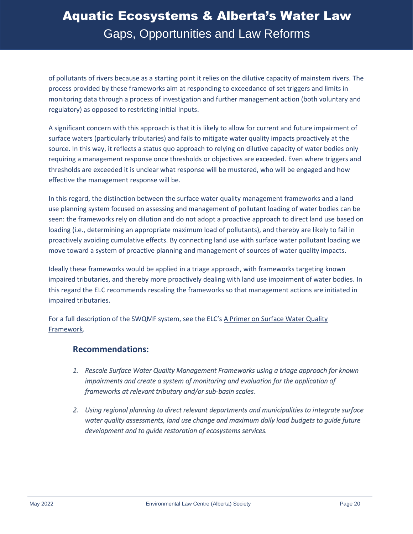of pollutants of rivers because as a starting point it relies on the dilutive capacity of mainstem rivers. The process provided by these frameworks aim at responding to exceedance of set triggers and limits in monitoring data through a process of investigation and further management action (both voluntary and regulatory) as opposed to restricting initial inputs.

A significant concern with this approach is that it is likely to allow for current and future impairment of surface waters (particularly tributaries) and fails to mitigate water quality impacts proactively at the source. In this way, it reflects a status quo approach to relying on dilutive capacity of water bodies only requiring a management response once thresholds or objectives are exceeded. Even where triggers and thresholds are exceeded it is unclear what response will be mustered, who will be engaged and how effective the management response will be.

In this regard, the distinction between the surface water quality management frameworks and a land use planning system focused on assessing and management of pollutant loading of water bodies can be seen: the frameworks rely on dilution and do not adopt a proactive approach to direct land use based on loading (i.e., determining an appropriate maximum load of pollutants), and thereby are likely to fail in proactively avoiding cumulative effects. By connecting land use with surface water pollutant loading we move toward a system of proactive planning and management of sources of water quality impacts.

Ideally these frameworks would be applied in a triage approach, with frameworks targeting known impaired tributaries, and thereby more proactively dealing with land use impairment of water bodies. In this regard the ELC recommends rescaling the frameworks so that management actions are initiated in impaired tributaries.

For a full description of the SWQMF system, see the ELC's A Primer [on Surface Water Quality](https://elc.ab.ca/sdm_downloads/primer-on-surface-water-quality-framework/)  [Framework](https://elc.ab.ca/sdm_downloads/primer-on-surface-water-quality-framework/)*.*

#### **Recommendations:**

- *1. Rescale Surface Water Quality Management Frameworks using a triage approach for known impairments and create a system of monitoring and evaluation for the application of frameworks at relevant tributary and/or sub-basin scales.*
- *2. Using regional planning to direct relevant departments and municipalities to integrate surface water quality assessments, land use change and maximum daily load budgets to guide future development and to guide restoration of ecosystems services.*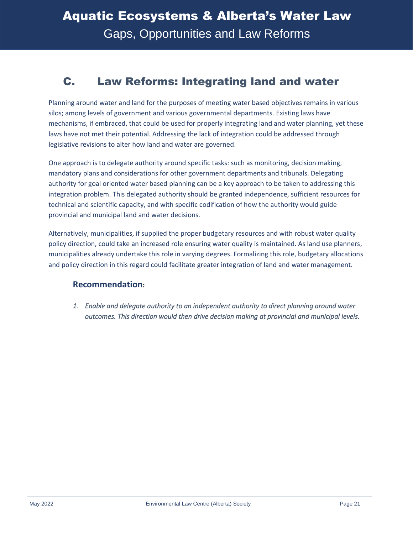### <span id="page-24-0"></span>C. Law Reforms: Integrating land and water

Planning around water and land for the purposes of meeting water based objectives remains in various silos; among levels of government and various governmental departments. Existing laws have mechanisms, if embraced, that could be used for properly integrating land and water planning, yet these laws have not met their potential. Addressing the lack of integration could be addressed through legislative revisions to alter how land and water are governed.

One approach is to delegate authority around specific tasks: such as monitoring, decision making, mandatory plans and considerations for other government departments and tribunals. Delegating authority for goal oriented water based planning can be a key approach to be taken to addressing this integration problem. This delegated authority should be granted independence, sufficient resources for technical and scientific capacity, and with specific codification of how the authority would guide provincial and municipal land and water decisions.

Alternatively, municipalities, if supplied the proper budgetary resources and with robust water quality policy direction, could take an increased role ensuring water quality is maintained. As land use planners, municipalities already undertake this role in varying degrees. Formalizing this role, budgetary allocations and policy direction in this regard could facilitate greater integration of land and water management.

#### **Recommendation:**

*1. Enable and delegate authority to an independent authority to direct planning around water outcomes. This direction would then drive decision making at provincial and municipal levels.*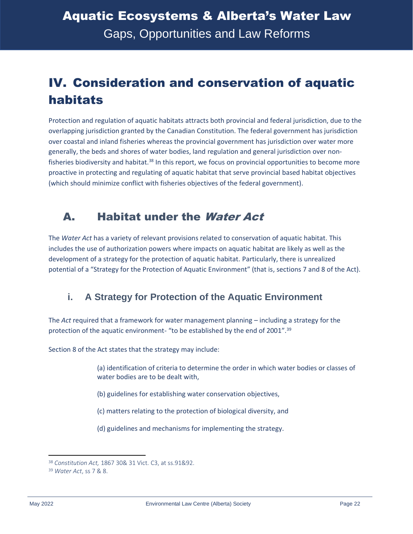## <span id="page-25-0"></span>IV. Consideration and conservation of aquatic habitats

Protection and regulation of aquatic habitats attracts both provincial and federal jurisdiction, due to the overlapping jurisdiction granted by the Canadian Constitution. The federal government has jurisdiction over coastal and inland fisheries whereas the provincial government has jurisdiction over water more generally, the beds and shores of water bodies, land regulation and general jurisdiction over nonfisheries biodiversity and habitat.<sup>38</sup> In this report, we focus on provincial opportunities to become more proactive in protecting and regulating of aquatic habitat that serve provincial based habitat objectives (which should minimize conflict with fisheries objectives of the federal government).

### <span id="page-25-1"></span>A. Habitat under the Water Act

The *Water Act* has a variety of relevant provisions related to conservation of aquatic habitat. This includes the use of authorization powers where impacts on aquatic habitat are likely as well as the development of a strategy for the protection of aquatic habitat. Particularly, there is unrealized potential of a "Strategy for the Protection of Aquatic Environment" (that is, sections 7 and 8 of the Act).

### <span id="page-25-2"></span>**i. A Strategy for Protection of the Aquatic Environment**

The *Act* required that a framework for water management planning – including a strategy for the protection of the aquatic environment- "to be established by the end of 2001".<sup>39</sup>

Section 8 of the Act states that the strategy may include:

(a) identification of criteria to determine the order in which water bodies or classes of water bodies are to be dealt with,

- (b) guidelines for establishing water conservation objectives,
- (c) matters relating to the protection of biological diversity, and
- (d) guidelines and mechanisms for implementing the strategy.

<sup>38</sup> *Constitution Act,* 1867 30& 31 Vict. C3, at ss.91&92.

<sup>39</sup> *Water Act*, ss 7 & 8.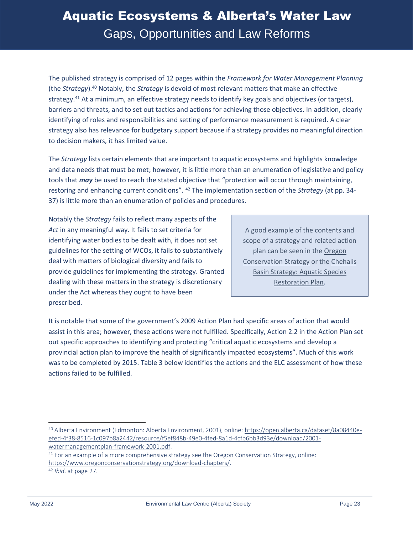The published strategy is comprised of 12 pages within the *Framework for Water Management Planning*  (the *Strategy*).<sup>40</sup> Notably, the *Strategy* is devoid of most relevant matters that make an effective strategy.<sup>41</sup> At a minimum, an effective strategy needs to identify key goals and objectives (or targets), barriers and threats, and to set out tactics and actions for achieving those objectives. In addition, clearly identifying of roles and responsibilities and setting of performance measurement is required. A clear strategy also has relevance for budgetary support because if a strategy provides no meaningful direction to decision makers, it has limited value.

The *Strategy* lists certain elements that are important to aquatic ecosystems and highlights knowledge and data needs that must be met; however, it is little more than an enumeration of legislative and policy tools that *may* be used to reach the stated objective that "protection will occur through maintaining, restoring and enhancing current conditions". <sup>42</sup> The implementation section of the *Strategy* (at pp. 34- 37) is little more than an enumeration of policies and procedures.

Notably the *Strategy* fails to reflect many aspects of the *Act* in any meaningful way. It fails to set criteria for identifying water bodies to be dealt with, it does not set guidelines for the setting of WCOs, it fails to substantively deal with matters of biological diversity and fails to provide guidelines for implementing the strategy. Granted dealing with these matters in the strategy is discretionary under the Act whereas they ought to have been prescribed.

A good example of the contents and scope of a strategy and related action plan can be seen in th[e Oregon](https://www.oregonconservationstrategy.org/download-chapters/)  [Conservation Strategy](https://www.oregonconservationstrategy.org/download-chapters/) or the [Chehalis](https://www.chehalisbasinstrategy.com/wp-content/uploads/2019/11/ASRP_Phase-1.pdf)  [Basin Strategy: Aquatic Species](https://www.chehalisbasinstrategy.com/wp-content/uploads/2019/11/ASRP_Phase-1.pdf)  [Restoration Plan.](https://www.chehalisbasinstrategy.com/wp-content/uploads/2019/11/ASRP_Phase-1.pdf)

It is notable that some of the government's 2009 Action Plan had specific areas of action that would assist in this area; however, these actions were not fulfilled. Specifically, Action 2.2 in the Action Plan set out specific approaches to identifying and protecting "critical aquatic ecosystems and develop a provincial action plan to improve the health of significantly impacted ecosystems". Much of this work was to be completed by 2015. Table 3 below identifies the actions and the ELC assessment of how these actions failed to be fulfilled.

<sup>41</sup> For an example of a more comprehensive strategy see the Oregon Conservation Strategy, online: [https://www.oregonconservationstrategy.org/download-chapters/.](https://www.oregonconservationstrategy.org/download-chapters/)

<sup>40</sup> Alberta Environment (Edmonton: Alberta Environment, 2001), online[: https://open.alberta.ca/dataset/8a08440e](https://open.alberta.ca/dataset/8a08440e-efed-4f38-8516-1c097b8a2442/resource/f5ef848b-49e0-4fed-8a1d-4cfb6bb3d93e/download/2001-watermanagementplan-framework-2001.pdf)[efed-4f38-8516-1c097b8a2442/resource/f5ef848b-49e0-4fed-8a1d-4cfb6bb3d93e/download/2001](https://open.alberta.ca/dataset/8a08440e-efed-4f38-8516-1c097b8a2442/resource/f5ef848b-49e0-4fed-8a1d-4cfb6bb3d93e/download/2001-watermanagementplan-framework-2001.pdf) [watermanagementplan-framework-2001.pdf.](https://open.alberta.ca/dataset/8a08440e-efed-4f38-8516-1c097b8a2442/resource/f5ef848b-49e0-4fed-8a1d-4cfb6bb3d93e/download/2001-watermanagementplan-framework-2001.pdf)

<sup>42</sup> *Ibid*. at page 27.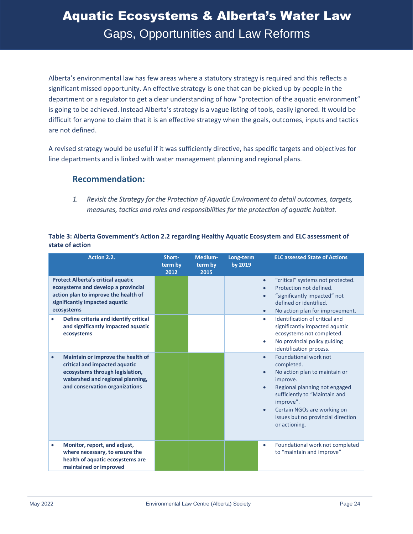Alberta's environmental law has few areas where a statutory strategy is required and this reflects a significant missed opportunity. An effective strategy is one that can be picked up by people in the department or a regulator to get a clear understanding of how "protection of the aquatic environment" is going to be achieved. Instead Alberta's strategy is a vague listing of tools, easily ignored. It would be difficult for anyone to claim that it is an effective strategy when the goals, outcomes, inputs and tactics are not defined.

A revised strategy would be useful if it was sufficiently directive, has specific targets and objectives for line departments and is linked with water management planning and regional plans.

#### **Recommendation:**

*1. Revisit the Strategy for the Protection of Aquatic Environment to detail outcomes, targets, measures, tactics and roles and responsibilities for the protection of aquatic habitat.* 

| Table 3: Alberta Government's Action 2.2 regarding Healthy Aquatic Ecosystem and ELC assessment of |
|----------------------------------------------------------------------------------------------------|
| state of action                                                                                    |

| Action 2.2.                                                                                                                                                                              | Short-<br>term by<br>2012 | Medium-<br>term by<br>2015 | Long-term<br>by 2019 | <b>ELC assessed State of Actions</b>                                                                                                                                                                                                                                                                      |
|------------------------------------------------------------------------------------------------------------------------------------------------------------------------------------------|---------------------------|----------------------------|----------------------|-----------------------------------------------------------------------------------------------------------------------------------------------------------------------------------------------------------------------------------------------------------------------------------------------------------|
| <b>Protect Alberta's critical aquatic</b><br>ecosystems and develop a provincial<br>action plan to improve the health of<br>significantly impacted aquatic<br>ecosystems                 |                           |                            |                      | "critical" systems not protected.<br>$\bullet$<br>Protection not defined.<br>$\bullet$<br>"significantly impacted" not<br>$\bullet$<br>defined or identified.<br>No action plan for improvement.<br>$\bullet$                                                                                             |
| Define criteria and identify critical<br>$\bullet$<br>and significantly impacted aquatic<br>ecosystems                                                                                   |                           |                            |                      | Identification of critical and<br>$\bullet$<br>significantly impacted aquatic<br>ecosystems not completed.<br>No provincial policy guiding<br>$\bullet$<br>identification process.                                                                                                                        |
| Maintain or improve the health of<br>$\bullet$<br>critical and impacted aquatic<br>ecosystems through legislation,<br>watershed and regional planning,<br>and conservation organizations |                           |                            |                      | Foundational work not<br>$\bullet$<br>completed.<br>No action plan to maintain or<br>$\bullet$<br>improve.<br>Regional planning not engaged<br>$\bullet$<br>sufficiently to "Maintain and<br>improve".<br>Certain NGOs are working on<br>$\bullet$<br>issues but no provincial direction<br>or actioning. |
| Monitor, report, and adjust,<br>$\bullet$<br>where necessary, to ensure the<br>health of aquatic ecosystems are<br>maintained or improved                                                |                           |                            |                      | Foundational work not completed<br>$\bullet$<br>to "maintain and improve"                                                                                                                                                                                                                                 |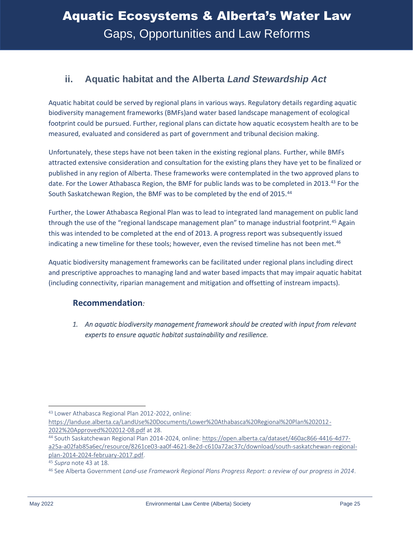#### <span id="page-28-0"></span>**ii. Aquatic habitat and the Alberta** *Land Stewardship Act*

Aquatic habitat could be served by regional plans in various ways. Regulatory details regarding aquatic biodiversity management frameworks (BMFs)and water based landscape management of ecological footprint could be pursued. Further, regional plans can dictate how aquatic ecosystem health are to be measured, evaluated and considered as part of government and tribunal decision making.

Unfortunately, these steps have not been taken in the existing regional plans. Further, while BMFs attracted extensive consideration and consultation for the existing plans they have yet to be finalized or published in any region of Alberta. These frameworks were contemplated in the two approved plans to date. For the Lower Athabasca Region, the BMF for public lands was to be completed in 2013.<sup>43</sup> For the South Saskatchewan Region, the BMF was to be completed by the end of 2015.<sup>44</sup>

Further, the Lower Athabasca Regional Plan was to lead to integrated land management on public land through the use of the "regional landscape management plan" to manage industrial footprint.<sup>45</sup> Again this was intended to be completed at the end of 2013. A progress report was subsequently issued indicating a new timeline for these tools; however, even the revised timeline has not been met.<sup>46</sup>

Aquatic biodiversity management frameworks can be facilitated under regional plans including direct and prescriptive approaches to managing land and water based impacts that may impair aquatic habitat (including connectivity, riparian management and mitigation and offsetting of instream impacts).

#### **Recommendation***:*

*1. An aquatic biodiversity management framework should be created with input from relevant experts to ensure aquatic habitat sustainability and resilience.* 

<sup>43</sup> Lower Athabasca Regional Plan 2012-2022, online:

[https://landuse.alberta.ca/LandUse%20Documents/Lower%20Athabasca%20Regional%20Plan%202012-](https://landuse.alberta.ca/LandUse%20Documents/Lower%20Athabasca%20Regional%20Plan%202012-2022%20Approved%202012-08.pdf) [2022%20Approved%202012-08.pdf](https://landuse.alberta.ca/LandUse%20Documents/Lower%20Athabasca%20Regional%20Plan%202012-2022%20Approved%202012-08.pdf) at 28.

<sup>44</sup> South Saskatchewan Regional Plan 2014-2024, online: [https://open.alberta.ca/dataset/460ac866-4416-4d77](https://open.alberta.ca/dataset/460ac866-4416-4d77-a25a-a02fab85a6ec/resource/8261ce03-aa0f-4621-8e2d-c610a72ac37c/download/south-saskatchewan-regional-plan-2014-2024-february-2017.pdf) [a25a-a02fab85a6ec/resource/8261ce03-aa0f-4621-8e2d-c610a72ac37c/download/south-saskatchewan-regional](https://open.alberta.ca/dataset/460ac866-4416-4d77-a25a-a02fab85a6ec/resource/8261ce03-aa0f-4621-8e2d-c610a72ac37c/download/south-saskatchewan-regional-plan-2014-2024-february-2017.pdf)[plan-2014-2024-february-2017.pdf.](https://open.alberta.ca/dataset/460ac866-4416-4d77-a25a-a02fab85a6ec/resource/8261ce03-aa0f-4621-8e2d-c610a72ac37c/download/south-saskatchewan-regional-plan-2014-2024-february-2017.pdf)

<sup>45</sup> *Supra* note 43 at 18.

<sup>46</sup> See Alberta Government *Land-use Framework Regional Plans Progress Report: a review of our progress in 2014*.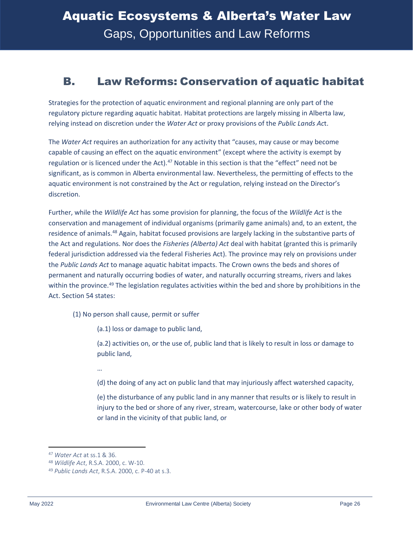### <span id="page-29-0"></span>B. Law Reforms: Conservation of aquatic habitat

Strategies for the protection of aquatic environment and regional planning are only part of the regulatory picture regarding aquatic habitat. Habitat protections are largely missing in Alberta law, relying instead on discretion under the *Water Act* or proxy provisions of the *Public Lands Ac*t.

The *Water Act* requires an authorization for any activity that "causes, may cause or may become capable of causing an effect on the aquatic environment" (except where the activity is exempt by regulation or is licenced under the Act).<sup>47</sup> Notable in this section is that the "effect" need not be significant, as is common in Alberta environmental law. Nevertheless, the permitting of effects to the aquatic environment is not constrained by the Act or regulation, relying instead on the Director's discretion.

Further, while the *Wildlife Act* has some provision for planning, the focus of the *Wildlife Act* is the conservation and management of individual organisms (primarily game animals) and, to an extent, the residence of animals.<sup>48</sup> Again, habitat focused provisions are largely lacking in the substantive parts of the Act and regulations. Nor does the *Fisheries (Alberta) Act* deal with habitat (granted this is primarily federal jurisdiction addressed via the federal Fisheries Act). The province may rely on provisions under the *Public Lands Act* to manage aquatic habitat impacts. The Crown owns the beds and shores of permanent and naturally occurring bodies of water, and naturally occurring streams, rivers and lakes within the province.<sup>49</sup> The legislation regulates activities within the bed and shore by prohibitions in the Act. Section 54 states:

(1) No person shall cause, permit or suffer

(a.1) loss or damage to public land,

(a.2) activities on, or the use of, public land that is likely to result in loss or damage to public land,

…

(d) the doing of any act on public land that may injuriously affect watershed capacity,

(e) the disturbance of any public land in any manner that results or is likely to result in injury to the bed or shore of any river, stream, watercourse, lake or other body of water or land in the vicinity of that public land, or

<sup>47</sup> *Water Act* at ss.1 & 36.

<sup>48</sup> *Wildlife Act*, R.S.A. 2000, c. W-10.

<sup>49</sup> *Public Lands Act*, R.S.A. 2000, c. P-40 at s.3.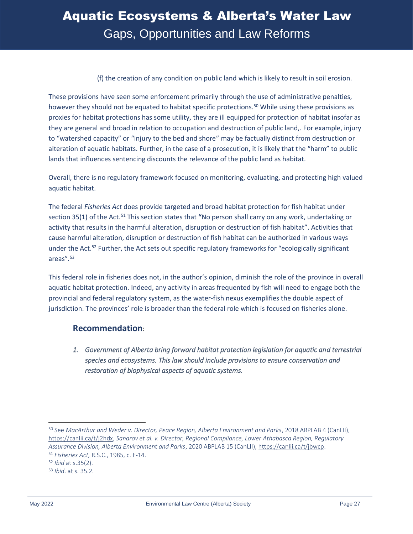#### (f) the creation of any condition on public land which is likely to result in soil erosion.

These provisions have seen some enforcement primarily through the use of administrative penalties, however they should not be equated to habitat specific protections.<sup>50</sup> While using these provisions as proxies for habitat protections has some utility, they are ill equipped for protection of habitat insofar as they are general and broad in relation to occupation and destruction of public land,. For example, injury to "watershed capacity" or "injury to the bed and shore" may be factually distinct from destruction or alteration of aquatic habitats. Further, in the case of a prosecution, it is likely that the "harm" to public lands that influences sentencing discounts the relevance of the public land as habitat.

Overall, there is no regulatory framework focused on monitoring, evaluating, and protecting high valued aquatic habitat.

The federal *Fisheries Act* does provide targeted and broad habitat protection for fish habitat under section 35(1) of the Act.<sup>51</sup> This section states that **"**No person shall carry on any work, undertaking or activity that results in the harmful alteration, disruption or destruction of fish habitat". Activities that cause harmful alteration, disruption or destruction of fish habitat can be authorized in various ways under the Act.<sup>52</sup> Further, the Act sets out specific regulatory frameworks for "ecologically significant areas".<sup>53</sup>

This federal role in fisheries does not, in the author's opinion, diminish the role of the province in overall aquatic habitat protection. Indeed, any activity in areas frequented by fish will need to engage both the provincial and federal regulatory system, as the water-fish nexus exemplifies the double aspect of jurisdiction. The provinces' role is broader than the federal role which is focused on fisheries alone.

#### **Recommendation**:

*1. Government of Alberta bring forward habitat protection legislation for aquatic and terrestrial species and ecosystems. This law should include provisions to ensure conservation and restoration of biophysical aspects of aquatic systems.* 

<sup>50</sup> See *MacArthur and Weder v. Director, Peace Region, Alberta Environment and Parks*, 2018 ABPLAB 4 (CanLII), [https://canlii.ca/t/j2hdx,](https://canlii.ca/t/j2hdx) *Sanarov et al. v. Director, Regional Compliance, Lower Athabasca Region, Regulatory Assurance Division, Alberta Environment and Parks*, 2020 ABPLAB 15 (CanLII), [https://canlii.ca/t/jbwcp.](https://canlii.ca/t/jbwcp) <sup>51</sup> *Fisheries Act,* R.S.C., 1985, c. F-14.

<sup>52</sup> *Ibid* at s.35(2).

<sup>53</sup> *Ibid*. at s. 35.2.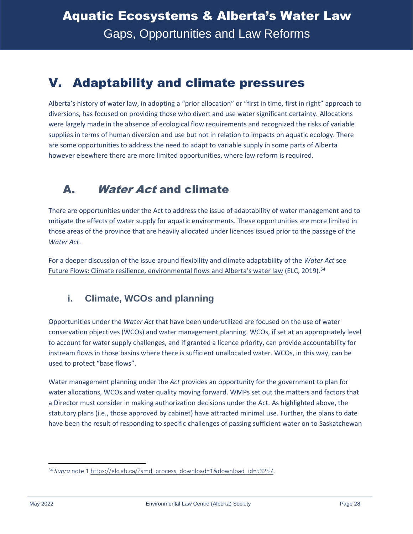### <span id="page-31-0"></span>V. Adaptability and climate pressures

Alberta's history of water law, in adopting a "prior allocation" or "first in time, first in right" approach to diversions, has focused on providing those who divert and use water significant certainty. Allocations were largely made in the absence of ecological flow requirements and recognized the risks of variable supplies in terms of human diversion and use but not in relation to impacts on aquatic ecology. There are some opportunities to address the need to adapt to variable supply in some parts of Alberta however elsewhere there are more limited opportunities, where law reform is required.

### <span id="page-31-1"></span>A. Water Act and climate

There are opportunities under the Act to address the issue of adaptability of water management and to mitigate the effects of water supply for aquatic environments. These opportunities are more limited in those areas of the province that are heavily allocated under licences issued prior to the passage of the *Water Act*.

For a deeper discussion of the issue around flexibility and climate adaptability of the *Water Act* see [Future Flows: Climate resilience, environmental flows and Alberta's water law](https://elc.ab.ca/?smd_process_download=1&download_id=53257) (ELC, 2019).<sup>54</sup>

#### <span id="page-31-2"></span>**i. Climate, WCOs and planning**

Opportunities under the *Water Act* that have been underutilized are focused on the use of water conservation objectives (WCOs) and water management planning. WCOs, if set at an appropriately level to account for water supply challenges, and if granted a licence priority, can provide accountability for instream flows in those basins where there is sufficient unallocated water. WCOs, in this way, can be used to protect "base flows".

Water management planning under the *Act* provides an opportunity for the government to plan for water allocations, WCOs and water quality moving forward. WMPs set out the matters and factors that a Director must consider in making authorization decisions under the Act. As highlighted above, the statutory plans (i.e., those approved by cabinet) have attracted minimal use. Further, the plans to date have been the result of responding to specific challenges of passing sufficient water on to Saskatchewan

<sup>54</sup> *Supra* note [1 https://elc.ab.ca/?smd\\_process\\_download=1&download\\_id=53257.](https://elc.ab.ca/?smd_process_download=1&download_id=53257)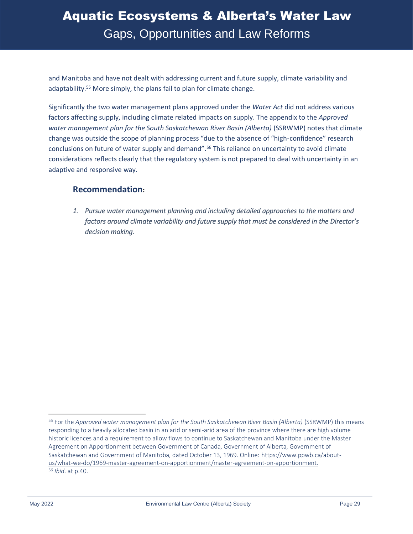and Manitoba and have not dealt with addressing current and future supply, climate variability and adaptability.<sup>55</sup> More simply, the plans fail to plan for climate change.

Significantly the two water management plans approved under the *Water Act* did not address various factors affecting supply, including climate related impacts on supply. The appendix to the *Approved water management plan for the South Saskatchewan River Basin (Alberta)* (SSRWMP) notes that climate change was outside the scope of planning process "due to the absence of "high-confidence" research conclusions on future of water supply and demand".<sup>56</sup> This reliance on uncertainty to avoid climate considerations reflects clearly that the regulatory system is not prepared to deal with uncertainty in an adaptive and responsive way.

#### **Recommendation:**

*1. Pursue water management planning and including detailed approaches to the matters and factors around climate variability and future supply that must be considered in the Director's decision making.* 

<sup>55</sup> For the *Approved water management plan for the South Saskatchewan River Basin (Alberta)* (SSRWMP) this means responding to a heavily allocated basin in an arid or semi-arid area of the province where there are high volume historic licences and a requirement to allow flows to continue to Saskatchewan and Manitoba under the Master Agreement on Apportionment between Government of Canada, Government of Alberta, Government of Saskatchewan and Government of Manitoba, dated October 13, 1969. Online: [https://www.ppwb.ca/about](https://www.ppwb.ca/about-us/what-we-do/1969-master-agreement-on-apportionment/master-agreement-on-apportionment)[us/what-we-do/1969-master-agreement-on-apportionment/master-agreement-on-apportionment.](https://www.ppwb.ca/about-us/what-we-do/1969-master-agreement-on-apportionment/master-agreement-on-apportionment) <sup>56</sup> *Ibid*. at p.40.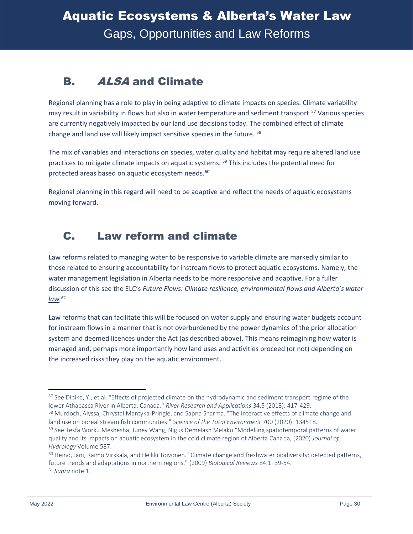### <span id="page-33-0"></span>B. ALSA and Climate

Regional planning has a role to play in being adaptive to climate impacts on species. Climate variability may result in variability in flows but also in water temperature and sediment transport.<sup>57</sup> Various species are currently negatively impacted by our land use decisions today. The combined effect of climate change and land use will likely impact sensitive species in the future. <sup>58</sup>

The mix of variables and interactions on species, water quality and habitat may require altered land use practices to mitigate climate impacts on aquatic systems.<sup>59</sup> This includes the potential need for protected areas based on aquatic ecosystem needs.<sup>60</sup>

Regional planning in this regard will need to be adaptive and reflect the needs of aquatic ecosystems moving forward.

### <span id="page-33-1"></span>C. Law reform and climate

Law reforms related to managing water to be responsive to variable climate are markedly similar to those related to ensuring accountability for instream flows to protect aquatic ecosystems. Namely, the water management legislation in Alberta needs to be more responsive and adaptive. For a fuller discussion of this see the ELC's *[Future Flows: Climate resilience, environmental flows and Alberta's water](https://elc.ab.ca/?smd_process_download=1&download_id=53257)  [law.](https://elc.ab.ca/?smd_process_download=1&download_id=53257) 61*

Law reforms that can facilitate this will be focused on water supply and ensuring water budgets account for instream flows in a manner that is not overburdened by the power dynamics of the prior allocation system and deemed licences under the Act (as described above). This means reimagining how water is managed and, perhaps more importantly how land uses and activities proceed (or not) depending on the increased risks they play on the aquatic environment.

<sup>&</sup>lt;sup>57</sup> See Dibike, Y., et al. "Effects of projected climate on the hydrodynamic and sediment transport regime of the lower Athabasca River in Alberta, Canada." *River Research and Applications* 34.5 (2018): 417-429.

<sup>58</sup> Murdoch, Alyssa, Chrystal Mantyka-Pringle, and Sapna Sharma. "The interactive effects of climate change and land use on boreal stream fish communities." *Science of the Total Environment* 700 (2020): 134518.

<sup>&</sup>lt;sup>59</sup> See Tesfa Worku Meshesha, Juney Wang, Nigus Demelash Melaku "Modelling spatiotemporal patterns of water quality and its impacts on aquatic ecosystem in the cold climate region of Alberta Canada, (2020) *Journal of Hydrology* Volume 587.

 $60$  Heino, Jani, Raimo Virkkala, and Heikki Toivonen. "Climate change and freshwater biodiversity: detected patterns, future trends and adaptations in northern regions." (2009) *Biological Reviews* 84.1: 39-54. <sup>61</sup> *Supra* note 1.